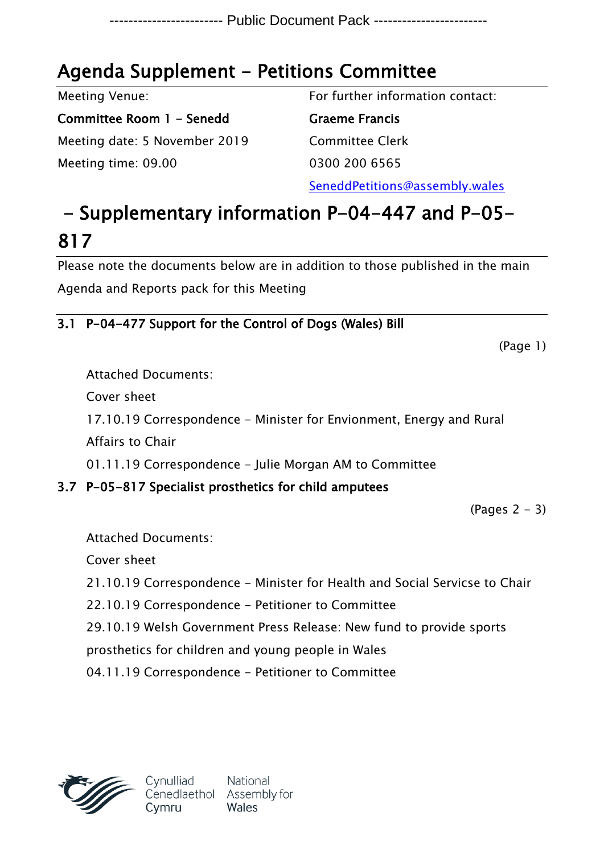## **Agenda Supplement - Petitions Committee**

Meeting Venue:

**Committee Room 1 - Senedd** Meeting date: 5 November 2019 Meeting time: 09.00

For further information contact:

**Graeme Francis** Committee Clerk 0300 200 6565

SeneddPetitions@assembly.wales

# **- Supplementary information P-04-447 and P-05- 817**

Please note the documents below are in addition to those published in the main Agenda and Reports pack for this Meeting

### **3.1 P-04-477 Support for the Control of Dogs (Wales) Bill**

(Page 1)

Attached Documents:

Cover sheet

17.10.19 Correspondence - Minister for Envionment, Energy and Rural

Affairs to Chair

01.11.19 Correspondence - Julie Morgan AM to Committee

### **3.7 P-05-817 Specialist prosthetics for child amputees**

 $(Pa$ ges  $2 - 3)$ 

Attached Documents: Cover sheet 21.10.19 Correspondence - Minister for Health and Social Servicse to Chair 22.10.19 Correspondence - Petitioner to Committee 29.10.19 Welsh Government Press Release: New fund to provide sports prosthetics for children and young people in Wales 04.11.19 Correspondence - Petitioner to Committee

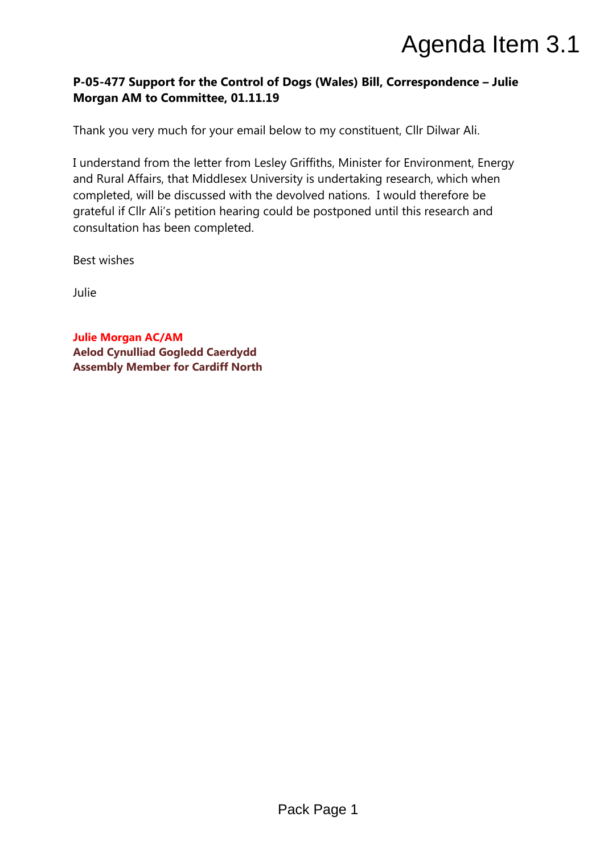### **P-05-477 Support for the Control of Dogs (Wales) Bill, Correspondence – Julie Morgan AM to Committee, 01.11.19**

Thank you very much for your email below to my constituent, Cllr Dilwar Ali.

I understand from the letter from Lesley Griffiths, Minister for Environment, Energy and Rural Affairs, that Middlesex University is undertaking research, which when completed, will be discussed with the devolved nations. I would therefore be grateful if Cllr Ali's petition hearing could be postponed until this research and consultation has been completed. Agenda Item 3.1<br>
Progs (Wales) Bill, Correspondence – Julie<br>
Pelow to my constituent, ClIr Dilwar Ali.<br>
y Griffiths, Minister for Environment, Energy<br>
y Simeraking research, which when<br>
devolved nations. I would therefore

Best wishes

Julie

**Julie Morgan AC/AM Aelod Cynulliad Gogledd Caerdydd Assembly Member for Cardiff North**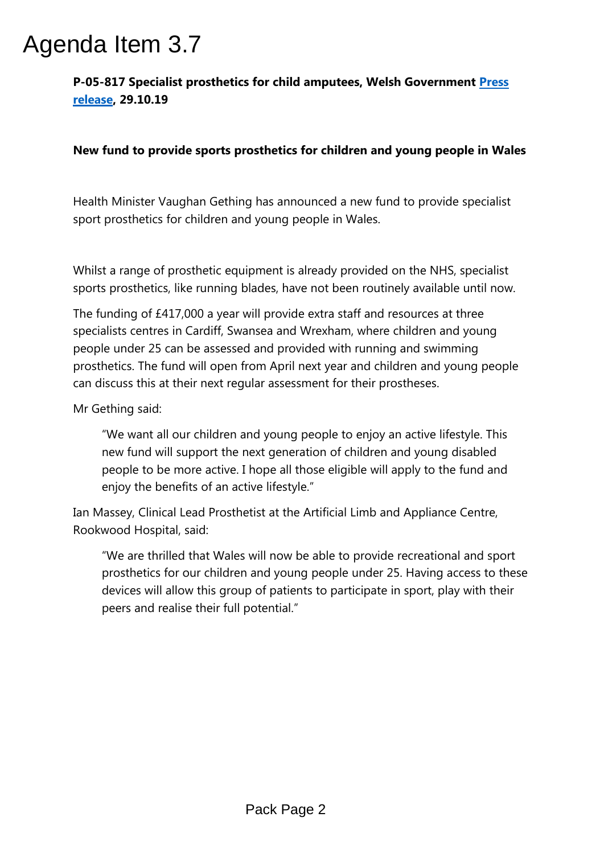**P-05-817 Specialist prosthetics for child amputees, Welsh Government [Press](https://gov.wales/new-fund-provide-sports-prosthetics-children-and-young-people-wales) [release](https://gov.wales/new-fund-provide-sports-prosthetics-children-and-young-people-wales), 29.10.19**

### **New fund to provide sports prosthetics for children and young people in Wales**

Health Minister Vaughan Gething has announced a new fund to provide specialist sport prosthetics for children and young people in Wales.

Whilst a range of prosthetic equipment is already provided on the NHS, specialist sports prosthetics, like running blades, have not been routinely available until now.

The funding of £417,000 a year will provide extra staff and resources at three specialists centres in Cardiff, Swansea and Wrexham, where children and young people under 25 can be assessed and provided with running and swimming prosthetics. The fund will open from April next year and children and young people can discuss this at their next regular assessment for their prostheses. **Agenda Item 3.7**<br>**P-05-817 Specialist prosthetics for child amp**<br>**release. 29.10.19**<br>**New fund to provide sports prosthetics for c<br>Health Minister Vaughan Gething has announce<br>sport prosthetics for children and young peop** 

Mr Gething said:

"We want all our children and young people to enjoy an active lifestyle. This new fund will support the next generation of children and young disabled people to be more active. I hope all those eligible will apply to the fund and enjoy the benefits of an active lifestyle."

Ian Massey, Clinical Lead Prosthetist at the Artificial Limb and Appliance Centre, Rookwood Hospital, said:

"We are thrilled that Wales will now be able to provide recreational and sport prosthetics for our children and young people under 25. Having access to these devices will allow this group of patients to participate in sport, play with their peers and realise their full potential."